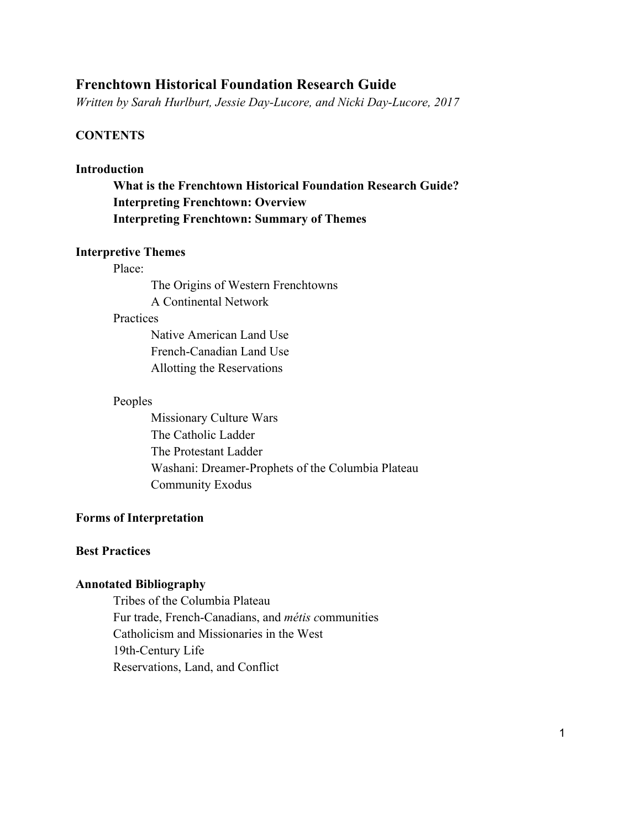## **Frenchtown Historical Foundation Research Guide**

*Written by Sarah Hurlburt, Jessie Day-Lucore, and Nicki Day-Lucore, 2017*

## **CONTENTS**

## **Introduction**

**What is the Frenchtown Historical Foundation Research Guide? Interpreting Frenchtown: Overview Interpreting Frenchtown: Summary of Themes**

### **Interpretive Themes**

### Place:

The Origins of Western Frenchtowns A Continental Network

#### **Practices**

Native American Land Use French-Canadian Land Use Allotting the Reservations

### Peoples

Missionary Culture Wars The Catholic Ladder The Protestant Ladder Washani: Dreamer-Prophets of the Columbia Plateau Community Exodus

## **Forms of Interpretation**

### **Best Practices**

### **Annotated Bibliography**

Tribes of the Columbia Plateau Fur trade, French-Canadians, and *métis c*ommunities Catholicism and Missionaries in the West 19th-Century Life Reservations, Land, and Conflict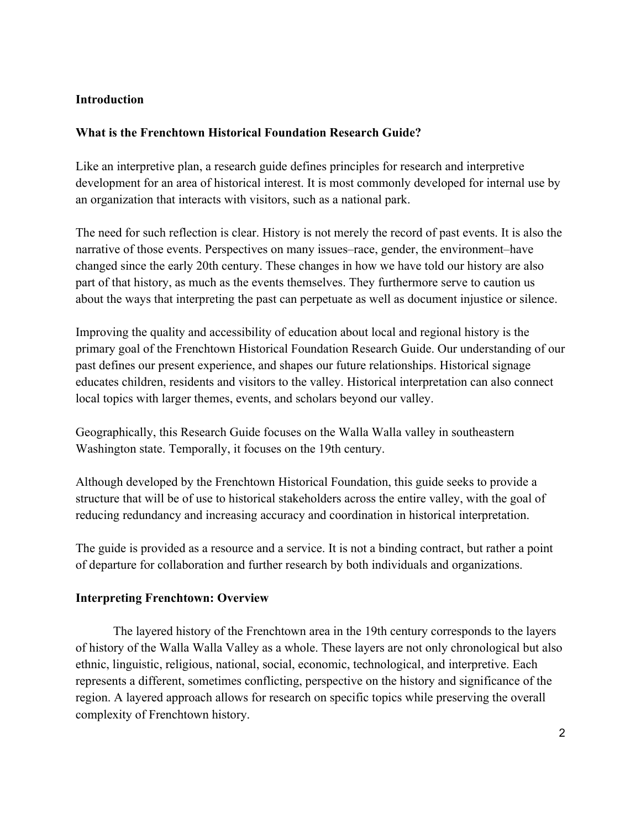## **Introduction**

## **What is the Frenchtown Historical Foundation Research Guide?**

Like an interpretive plan, a research guide defines principles for research and interpretive development for an area of historical interest. It is most commonly developed for internal use by an organization that interacts with visitors, such as a national park.

The need for such reflection is clear. History is not merely the record of past events. It is also the narrative of those events. Perspectives on many issues–race, gender, the environment–have changed since the early 20th century. These changes in how we have told our history are also part of that history, as much as the events themselves. They furthermore serve to caution us about the ways that interpreting the past can perpetuate as well as document injustice or silence.

Improving the quality and accessibility of education about local and regional history is the primary goal of the Frenchtown Historical Foundation Research Guide. Our understanding of our past defines our present experience, and shapes our future relationships. Historical signage educates children, residents and visitors to the valley. Historical interpretation can also connect local topics with larger themes, events, and scholars beyond our valley.

Geographically, this Research Guide focuses on the Walla Walla valley in southeastern Washington state. Temporally, it focuses on the 19th century.

Although developed by the Frenchtown Historical Foundation, this guide seeks to provide a structure that will be of use to historical stakeholders across the entire valley, with the goal of reducing redundancy and increasing accuracy and coordination in historical interpretation.

The guide is provided as a resource and a service. It is not a binding contract, but rather a point of departure for collaboration and further research by both individuals and organizations.

### **Interpreting Frenchtown: Overview**

The layered history of the Frenchtown area in the 19th century corresponds to the layers of history of the Walla Walla Valley as a whole. These layers are not only chronological but also ethnic, linguistic, religious, national, social, economic, technological, and interpretive. Each represents a different, sometimes conflicting, perspective on the history and significance of the region. A layered approach allows for research on specific topics while preserving the overall complexity of Frenchtown history.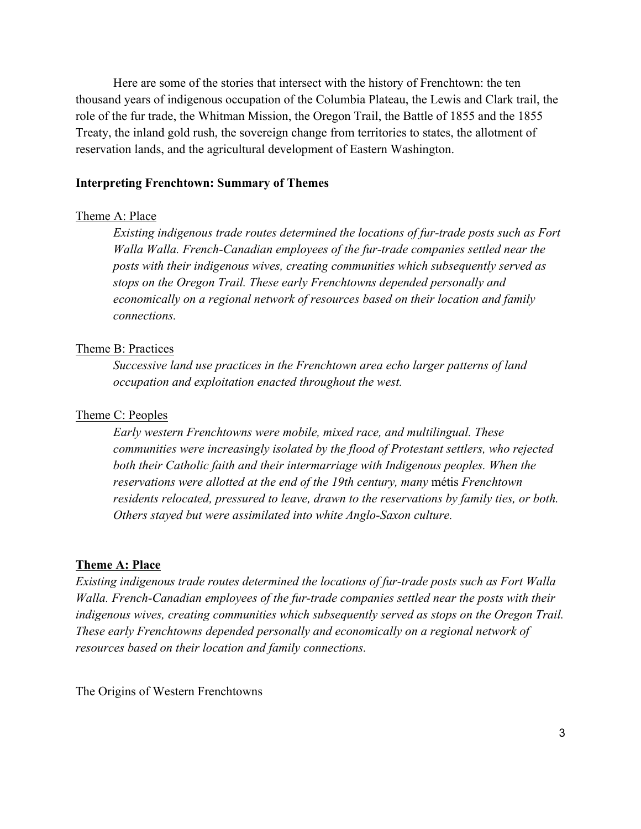Here are some of the stories that intersect with the history of Frenchtown: the ten thousand years of indigenous occupation of the Columbia Plateau, the Lewis and Clark trail, the role of the fur trade, the Whitman Mission, the Oregon Trail, the Battle of 1855 and the 1855 Treaty, the inland gold rush, the sovereign change from territories to states, the allotment of reservation lands, and the agricultural development of Eastern Washington.

### **Interpreting Frenchtown: Summary of Themes**

#### Theme A: Place

*Existing indigenous trade routes determined the locations of fur-trade posts such as Fort Walla Walla. French-Canadian employees of the fur-trade companies settled near the posts with their indigenous wives, creating communities which subsequently served as stops on the Oregon Trail. These early Frenchtowns depended personally and economically on a regional network of resources based on their location and family connections.* 

### Theme B: Practices

*Successive land use practices in the Frenchtown area echo larger patterns of land occupation and exploitation enacted throughout the west.* 

### Theme C: Peoples

*Early western Frenchtowns were mobile, mixed race, and multilingual. These communities were increasingly isolated by the flood of Protestant settlers, who rejected*  both their Catholic faith and their intermarriage with Indigenous peoples. When the *reservations were allotted at the end of the 19th century, many* métis *Frenchtown residents relocated, pressured to leave, drawn to the reservations by family ties, or both. Others stayed but were assimilated into white Anglo-Saxon culture.*

### **Theme A: Place**

*Existing indigenous trade routes determined the locations of fur-trade posts such as Fort Walla Walla. French-Canadian employees of the fur-trade companies settled near the posts with their indigenous wives, creating communities which subsequently served as stops on the Oregon Trail. These early Frenchtowns depended personally and economically on a regional network of resources based on their location and family connections.* 

The Origins of Western Frenchtowns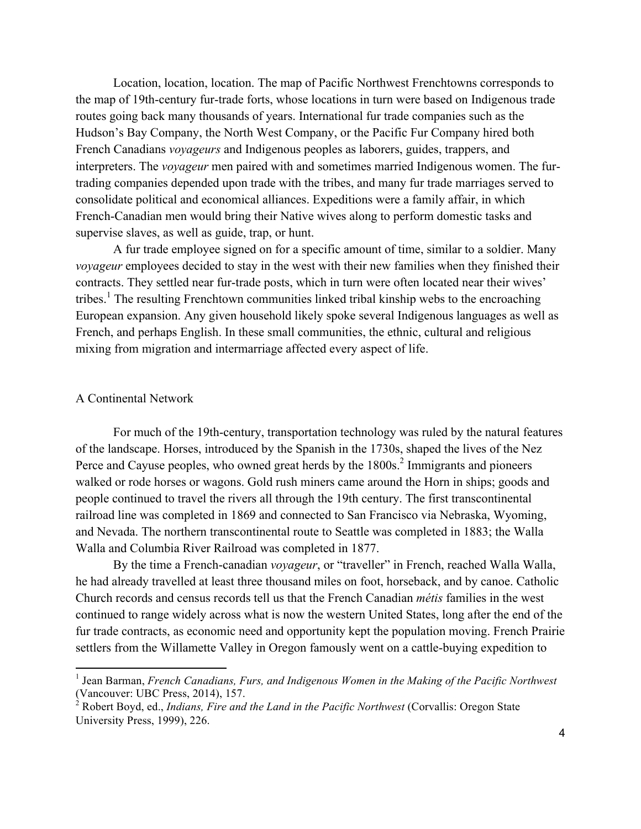Location, location, location. The map of Pacific Northwest Frenchtowns corresponds to the map of 19th-century fur-trade forts, whose locations in turn were based on Indigenous trade routes going back many thousands of years. International fur trade companies such as the Hudson's Bay Company, the North West Company, or the Pacific Fur Company hired both French Canadians *voyageurs* and Indigenous peoples as laborers, guides, trappers, and interpreters. The *voyageur* men paired with and sometimes married Indigenous women. The furtrading companies depended upon trade with the tribes, and many fur trade marriages served to consolidate political and economical alliances. Expeditions were a family affair, in which French-Canadian men would bring their Native wives along to perform domestic tasks and supervise slaves, as well as guide, trap, or hunt.

A fur trade employee signed on for a specific amount of time, similar to a soldier. Many *voyageur* employees decided to stay in the west with their new families when they finished their contracts. They settled near fur-trade posts, which in turn were often located near their wives' tribes.<sup>1</sup> The resulting Frenchtown communities linked tribal kinship webs to the encroaching European expansion. Any given household likely spoke several Indigenous languages as well as French, and perhaps English. In these small communities, the ethnic, cultural and religious mixing from migration and intermarriage affected every aspect of life.

### A Continental Network

 

For much of the 19th-century, transportation technology was ruled by the natural features of the landscape. Horses, introduced by the Spanish in the 1730s, shaped the lives of the Nez Perce and Cayuse peoples, who owned great herds by the 1800s.<sup>2</sup> Immigrants and pioneers walked or rode horses or wagons. Gold rush miners came around the Horn in ships; goods and people continued to travel the rivers all through the 19th century. The first transcontinental railroad line was completed in 1869 and connected to San Francisco via Nebraska, Wyoming, and Nevada. The northern transcontinental route to Seattle was completed in 1883; the Walla Walla and Columbia River Railroad was completed in 1877.

By the time a French-canadian *voyageur*, or "traveller" in French, reached Walla Walla, he had already travelled at least three thousand miles on foot, horseback, and by canoe. Catholic Church records and census records tell us that the French Canadian *métis* families in the west continued to range widely across what is now the western United States, long after the end of the fur trade contracts, as economic need and opportunity kept the population moving. French Prairie settlers from the Willamette Valley in Oregon famously went on a cattle-buying expedition to

<sup>1</sup> Jean Barman, *French Canadians, Furs, and Indigenous Women in the Making of the Pacific Northwest* (Vancouver: UBC Press, 2014), 157.

<sup>&</sup>lt;sup>2</sup> Robert Boyd, ed., *Indians, Fire and the Land in the Pacific Northwest* (Corvallis: Oregon State University Press, 1999), 226.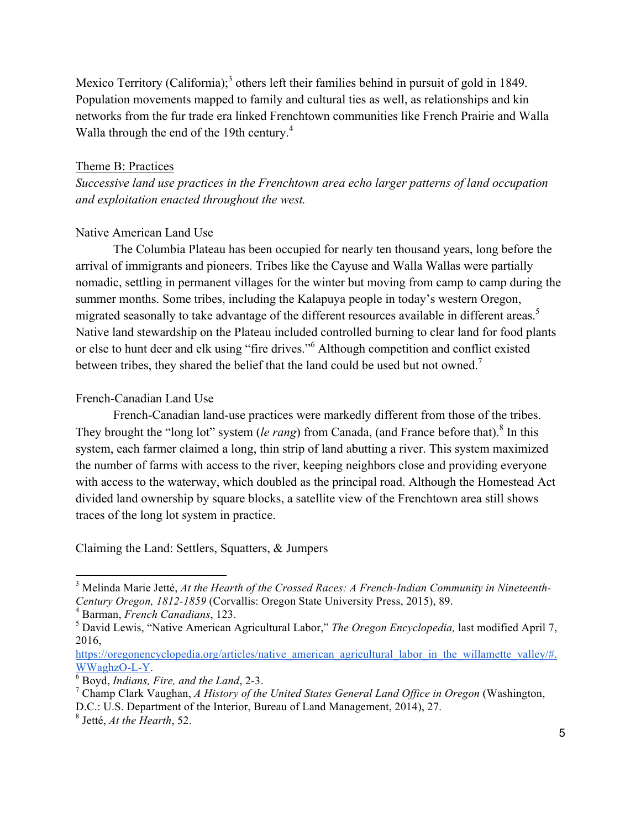Mexico Territory (California);<sup>3</sup> others left their families behind in pursuit of gold in 1849. Population movements mapped to family and cultural ties as well, as relationships and kin networks from the fur trade era linked Frenchtown communities like French Prairie and Walla Walla through the end of the 19th century.<sup>4</sup>

## Theme B: Practices

*Successive land use practices in the Frenchtown area echo larger patterns of land occupation and exploitation enacted throughout the west.* 

## Native American Land Use

The Columbia Plateau has been occupied for nearly ten thousand years, long before the arrival of immigrants and pioneers. Tribes like the Cayuse and Walla Wallas were partially nomadic, settling in permanent villages for the winter but moving from camp to camp during the summer months. Some tribes, including the Kalapuya people in today's western Oregon, migrated seasonally to take advantage of the different resources available in different areas.<sup>5</sup> Native land stewardship on the Plateau included controlled burning to clear land for food plants or else to hunt deer and elk using "fire drives."<sup>6</sup> Although competition and conflict existed between tribes, they shared the belief that the land could be used but not owned.<sup>7</sup>

## French-Canadian Land Use

French-Canadian land-use practices were markedly different from those of the tribes. They brought the "long lot" system (*le rang*) from Canada, (and France before that).<sup>8</sup> In this system, each farmer claimed a long, thin strip of land abutting a river. This system maximized the number of farms with access to the river, keeping neighbors close and providing everyone with access to the waterway, which doubled as the principal road. Although the Homestead Act divided land ownership by square blocks, a satellite view of the Frenchtown area still shows traces of the long lot system in practice.

Claiming the Land: Settlers, Squatters, & Jumpers

 

<sup>3</sup> Melinda Marie Jetté, *At the Hearth of the Crossed Races: A French-Indian Community in Nineteenth-Century Oregon, 1812-1859* (Corvallis: Oregon State University Press, 2015), 89.

<sup>4</sup> Barman, *French Canadians*, 123.

<sup>5</sup> David Lewis, "Native American Agricultural Labor," *The Oregon Encyclopedia,* last modified April 7, 2016,

https://oregonencyclopedia.org/articles/native\_american\_agricultural\_labor\_in\_the\_willamette\_valley/#. WWaghzO-L-Y. 6 Boyd, *Indians, Fire, and the Land*, 2-3.

<sup>7</sup> Champ Clark Vaughan, *A History of the United States General Land Office in Oregon* (Washington, D.C.: U.S. Department of the Interior, Bureau of Land Management, 2014), 27.

<sup>8</sup> Jetté, *At the Hearth*, 52.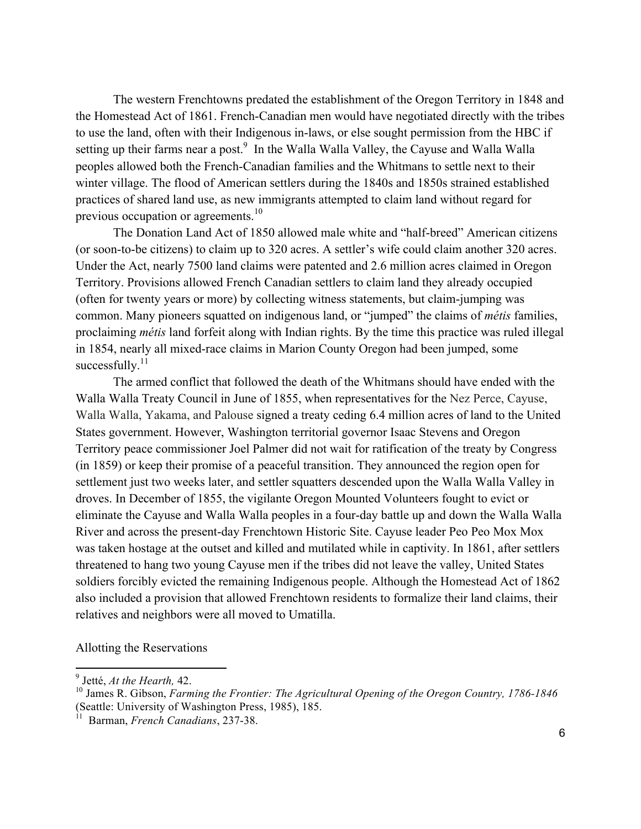The western Frenchtowns predated the establishment of the Oregon Territory in 1848 and the Homestead Act of 1861. French-Canadian men would have negotiated directly with the tribes to use the land, often with their Indigenous in-laws, or else sought permission from the HBC if setting up their farms near a post.<sup>9</sup> In the Walla Walla Valley, the Cayuse and Walla Walla peoples allowed both the French-Canadian families and the Whitmans to settle next to their winter village. The flood of American settlers during the 1840s and 1850s strained established practices of shared land use, as new immigrants attempted to claim land without regard for previous occupation or agreements.<sup>10</sup>

The Donation Land Act of 1850 allowed male white and "half-breed" American citizens (or soon-to-be citizens) to claim up to 320 acres. A settler's wife could claim another 320 acres. Under the Act, nearly 7500 land claims were patented and 2.6 million acres claimed in Oregon Territory. Provisions allowed French Canadian settlers to claim land they already occupied (often for twenty years or more) by collecting witness statements, but claim-jumping was common. Many pioneers squatted on indigenous land, or "jumped" the claims of *métis* families, proclaiming *métis* land forfeit along with Indian rights. By the time this practice was ruled illegal in 1854, nearly all mixed-race claims in Marion County Oregon had been jumped, some successfully. $11$ 

The armed conflict that followed the death of the Whitmans should have ended with the Walla Walla Treaty Council in June of 1855, when representatives for the Nez Perce, Cayuse, Walla Walla, Yakama, and Palouse signed a treaty ceding 6.4 million acres of land to the United States government. However, Washington territorial governor Isaac Stevens and Oregon Territory peace commissioner Joel Palmer did not wait for ratification of the treaty by Congress (in 1859) or keep their promise of a peaceful transition. They announced the region open for settlement just two weeks later, and settler squatters descended upon the Walla Walla Valley in droves. In December of 1855, the vigilante Oregon Mounted Volunteers fought to evict or eliminate the Cayuse and Walla Walla peoples in a four-day battle up and down the Walla Walla River and across the present-day Frenchtown Historic Site. Cayuse leader Peo Peo Mox Mox was taken hostage at the outset and killed and mutilated while in captivity. In 1861, after settlers threatened to hang two young Cayuse men if the tribes did not leave the valley, United States soldiers forcibly evicted the remaining Indigenous people. Although the Homestead Act of 1862 also included a provision that allowed Frenchtown residents to formalize their land claims, their relatives and neighbors were all moved to Umatilla.

Allotting the Reservations

 

<sup>9</sup> Jetté, *At the Hearth,* 42.

<sup>10</sup> James R. Gibson, *Farming the Frontier: The Agricultural Opening of the Oregon Country, 1786-1846* (Seattle: University of Washington Press, 1985), 185.

<sup>11</sup> Barman, *French Canadians*, 237-38.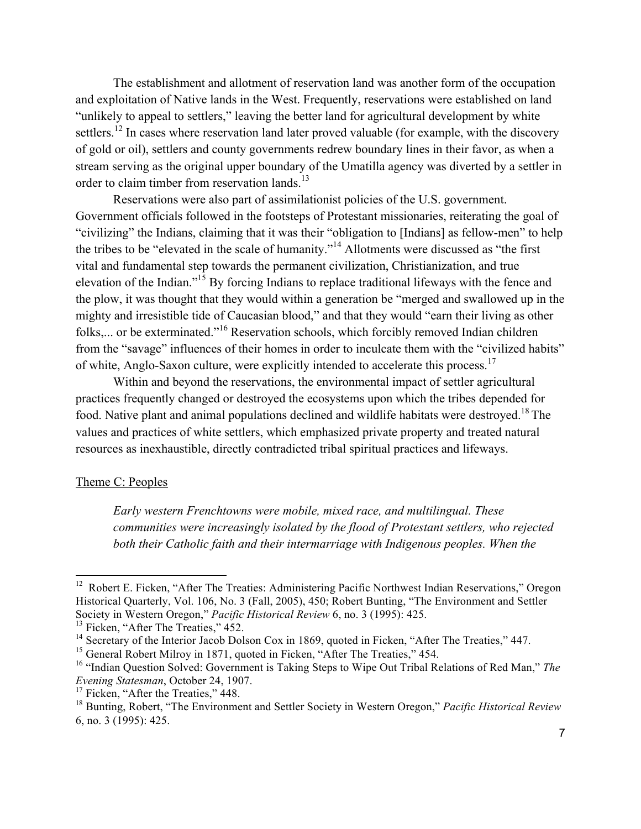The establishment and allotment of reservation land was another form of the occupation and exploitation of Native lands in the West. Frequently, reservations were established on land "unlikely to appeal to settlers," leaving the better land for agricultural development by white settlers.<sup>12</sup> In cases where reservation land later proved valuable (for example, with the discovery of gold or oil), settlers and county governments redrew boundary lines in their favor, as when a stream serving as the original upper boundary of the Umatilla agency was diverted by a settler in order to claim timber from reservation lands.<sup>13</sup>

Reservations were also part of assimilationist policies of the U.S. government. Government officials followed in the footsteps of Protestant missionaries, reiterating the goal of "civilizing" the Indians, claiming that it was their "obligation to [Indians] as fellow-men" to help the tribes to be "elevated in the scale of humanity."<sup>14</sup> Allotments were discussed as "the first vital and fundamental step towards the permanent civilization, Christianization, and true elevation of the Indian."<sup>15</sup> By forcing Indians to replace traditional lifeways with the fence and the plow, it was thought that they would within a generation be "merged and swallowed up in the mighty and irresistible tide of Caucasian blood," and that they would "earn their living as other folks,... or be exterminated."<sup>16</sup> Reservation schools, which forcibly removed Indian children from the "savage" influences of their homes in order to inculcate them with the "civilized habits" of white, Anglo-Saxon culture, were explicitly intended to accelerate this process.<sup>17</sup>

Within and beyond the reservations, the environmental impact of settler agricultural practices frequently changed or destroyed the ecosystems upon which the tribes depended for food. Native plant and animal populations declined and wildlife habitats were destroyed.18 The values and practices of white settlers, which emphasized private property and treated natural resources as inexhaustible, directly contradicted tribal spiritual practices and lifeways.

### Theme C: Peoples

*Early western Frenchtowns were mobile, mixed race, and multilingual. These communities were increasingly isolated by the flood of Protestant settlers, who rejected* both their Catholic faith and their intermarriage with Indigenous peoples. When the

 

<sup>&</sup>lt;sup>12</sup> Robert E. Ficken, "After The Treaties: Administering Pacific Northwest Indian Reservations," Oregon Historical Quarterly, Vol. 106, No. 3 (Fall, 2005), 450; Robert Bunting, "The Environment and Settler Society in Western Oregon," *Pacific Historical Review* 6, no. 3 (1995): 425.

<sup>&</sup>lt;sup>13</sup> Ficken, "After The Treaties," 452.

<sup>&</sup>lt;sup>14</sup> Secretary of the Interior Jacob Dolson Cox in 1869, quoted in Ficken, "After The Treaties," 447.

<sup>&</sup>lt;sup>15</sup> General Robert Milroy in 1871, quoted in Ficken, "After The Treaties," 454.

<sup>16</sup> "Indian Question Solved: Government is Taking Steps to Wipe Out Tribal Relations of Red Man," *The Evening Statesman*, October 24, 1907.

<sup>&</sup>lt;sup>17</sup> Ficken, "After the Treaties," 448.

<sup>18</sup> Bunting, Robert, "The Environment and Settler Society in Western Oregon," *Pacific Historical Review* 6, no. 3 (1995): 425.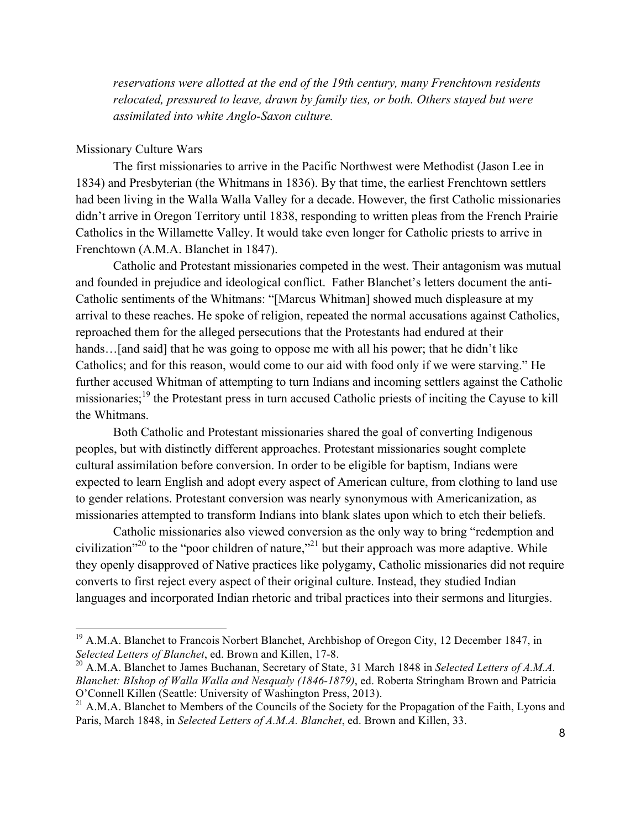*reservations were allotted at the end of the 19th century, many Frenchtown residents relocated, pressured to leave, drawn by family ties, or both. Others stayed but were assimilated into white Anglo-Saxon culture.*

### Missionary Culture Wars

 

The first missionaries to arrive in the Pacific Northwest were Methodist (Jason Lee in 1834) and Presbyterian (the Whitmans in 1836). By that time, the earliest Frenchtown settlers had been living in the Walla Walla Valley for a decade. However, the first Catholic missionaries didn't arrive in Oregon Territory until 1838, responding to written pleas from the French Prairie Catholics in the Willamette Valley. It would take even longer for Catholic priests to arrive in Frenchtown (A.M.A. Blanchet in 1847).

Catholic and Protestant missionaries competed in the west. Their antagonism was mutual and founded in prejudice and ideological conflict. Father Blanchet's letters document the anti-Catholic sentiments of the Whitmans: "[Marcus Whitman] showed much displeasure at my arrival to these reaches. He spoke of religion, repeated the normal accusations against Catholics, reproached them for the alleged persecutions that the Protestants had endured at their hands... [and said] that he was going to oppose me with all his power; that he didn't like Catholics; and for this reason, would come to our aid with food only if we were starving." He further accused Whitman of attempting to turn Indians and incoming settlers against the Catholic missionaries;<sup>19</sup> the Protestant press in turn accused Catholic priests of inciting the Cayuse to kill the Whitmans.

Both Catholic and Protestant missionaries shared the goal of converting Indigenous peoples, but with distinctly different approaches. Protestant missionaries sought complete cultural assimilation before conversion. In order to be eligible for baptism, Indians were expected to learn English and adopt every aspect of American culture, from clothing to land use to gender relations. Protestant conversion was nearly synonymous with Americanization, as missionaries attempted to transform Indians into blank slates upon which to etch their beliefs.

Catholic missionaries also viewed conversion as the only way to bring "redemption and civilization<sup> $20$ </sup> to the "poor children of nature,"<sup>21</sup> but their approach was more adaptive. While they openly disapproved of Native practices like polygamy, Catholic missionaries did not require converts to first reject every aspect of their original culture. Instead, they studied Indian languages and incorporated Indian rhetoric and tribal practices into their sermons and liturgies.

 $19$  A.M.A. Blanchet to Francois Norbert Blanchet, Archbishop of Oregon City, 12 December 1847, in *Selected Letters of Blanchet*, ed. Brown and Killen, 17-8.

<sup>20</sup> A.M.A. Blanchet to James Buchanan, Secretary of State, 31 March 1848 in *Selected Letters of A.M.A. Blanchet: BIshop of Walla Walla and Nesqualy (1846-1879)*, ed. Roberta Stringham Brown and Patricia O'Connell Killen (Seattle: University of Washington Press, 2013).

 $^{21}$  A.M.A. Blanchet to Members of the Councils of the Society for the Propagation of the Faith, Lyons and Paris, March 1848, in *Selected Letters of A.M.A. Blanchet*, ed. Brown and Killen, 33.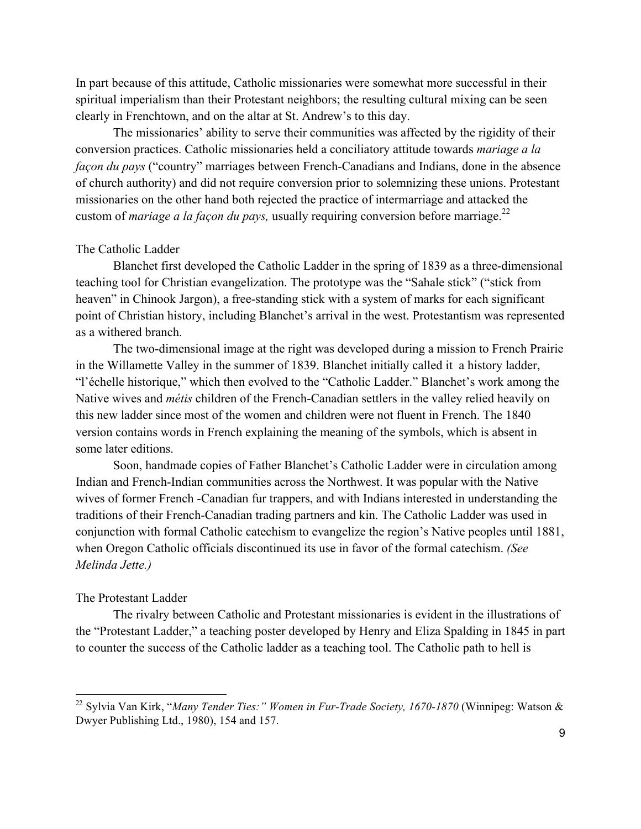In part because of this attitude, Catholic missionaries were somewhat more successful in their spiritual imperialism than their Protestant neighbors; the resulting cultural mixing can be seen clearly in Frenchtown, and on the altar at St. Andrew's to this day.

The missionaries' ability to serve their communities was affected by the rigidity of their conversion practices. Catholic missionaries held a conciliatory attitude towards *mariage a la façon du pays* ("country" marriages between French-Canadians and Indians, done in the absence of church authority) and did not require conversion prior to solemnizing these unions. Protestant missionaries on the other hand both rejected the practice of intermarriage and attacked the custom of *mariage a la façon du pays*, usually requiring conversion before marriage.<sup>22</sup>

#### The Catholic Ladder

Blanchet first developed the Catholic Ladder in the spring of 1839 as a three-dimensional teaching tool for Christian evangelization. The prototype was the "Sahale stick" ("stick from heaven" in Chinook Jargon), a free-standing stick with a system of marks for each significant point of Christian history, including Blanchet's arrival in the west. Protestantism was represented as a withered branch.

The two-dimensional image at the right was developed during a mission to French Prairie in the Willamette Valley in the summer of 1839. Blanchet initially called it a history ladder, "l'échelle historique," which then evolved to the "Catholic Ladder." Blanchet's work among the Native wives and *métis* children of the French-Canadian settlers in the valley relied heavily on this new ladder since most of the women and children were not fluent in French. The 1840 version contains words in French explaining the meaning of the symbols, which is absent in some later editions.

Soon, handmade copies of Father Blanchet's Catholic Ladder were in circulation among Indian and French-Indian communities across the Northwest. It was popular with the Native wives of former French -Canadian fur trappers, and with Indians interested in understanding the traditions of their French-Canadian trading partners and kin. The Catholic Ladder was used in conjunction with formal Catholic catechism to evangelize the region's Native peoples until 1881, when Oregon Catholic officials discontinued its use in favor of the formal catechism. *(See Melinda Jette.)*

### The Protestant Ladder

 

The rivalry between Catholic and Protestant missionaries is evident in the illustrations of the "Protestant Ladder," a teaching poster developed by Henry and Eliza Spalding in 1845 in part to counter the success of the Catholic ladder as a teaching tool. The Catholic path to hell is

<sup>22</sup> Sylvia Van Kirk, "*Many Tender Ties:" Women in Fur-Trade Society, 1670-1870* (Winnipeg: Watson & Dwyer Publishing Ltd., 1980), 154 and 157.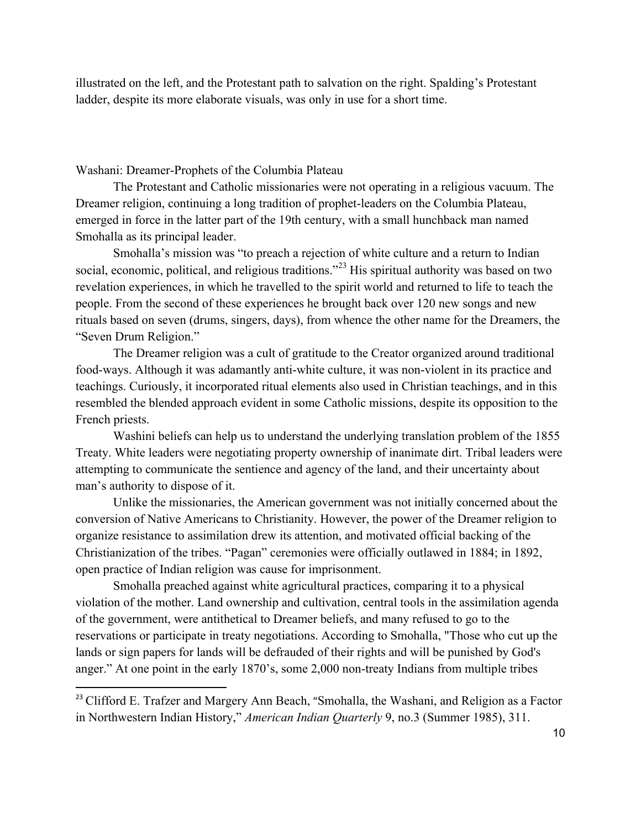illustrated on the left, and the Protestant path to salvation on the right. Spalding's Protestant ladder, despite its more elaborate visuals, was only in use for a short time.

Washani: Dreamer-Prophets of the Columbia Plateau

 

The Protestant and Catholic missionaries were not operating in a religious vacuum. The Dreamer religion, continuing a long tradition of prophet-leaders on the Columbia Plateau, emerged in force in the latter part of the 19th century, with a small hunchback man named Smohalla as its principal leader.

Smohalla's mission was "to preach a rejection of white culture and a return to Indian social, economic, political, and religious traditions."<sup>23</sup> His spiritual authority was based on two revelation experiences, in which he travelled to the spirit world and returned to life to teach the people. From the second of these experiences he brought back over 120 new songs and new rituals based on seven (drums, singers, days), from whence the other name for the Dreamers, the "Seven Drum Religion."

The Dreamer religion was a cult of gratitude to the Creator organized around traditional food-ways. Although it was adamantly anti-white culture, it was non-violent in its practice and teachings. Curiously, it incorporated ritual elements also used in Christian teachings, and in this resembled the blended approach evident in some Catholic missions, despite its opposition to the French priests.

Washini beliefs can help us to understand the underlying translation problem of the 1855 Treaty. White leaders were negotiating property ownership of inanimate dirt. Tribal leaders were attempting to communicate the sentience and agency of the land, and their uncertainty about man's authority to dispose of it.

Unlike the missionaries, the American government was not initially concerned about the conversion of Native Americans to Christianity. However, the power of the Dreamer religion to organize resistance to assimilation drew its attention, and motivated official backing of the Christianization of the tribes. "Pagan" ceremonies were officially outlawed in 1884; in 1892, open practice of Indian religion was cause for imprisonment.

Smohalla preached against white agricultural practices, comparing it to a physical violation of the mother. Land ownership and cultivation, central tools in the assimilation agenda of the government, were antithetical to Dreamer beliefs, and many refused to go to the reservations or participate in treaty negotiations. According to Smohalla, "Those who cut up the lands or sign papers for lands will be defrauded of their rights and will be punished by God's anger." At one point in the early 1870's, some 2,000 non-treaty Indians from multiple tribes

<sup>&</sup>lt;sup>23</sup> Clifford E. Trafzer and Margery Ann Beach, "Smohalla, the Washani, and Religion as a Factor in Northwestern Indian History," *American Indian Quarterly* 9, no.3 (Summer 1985), 311.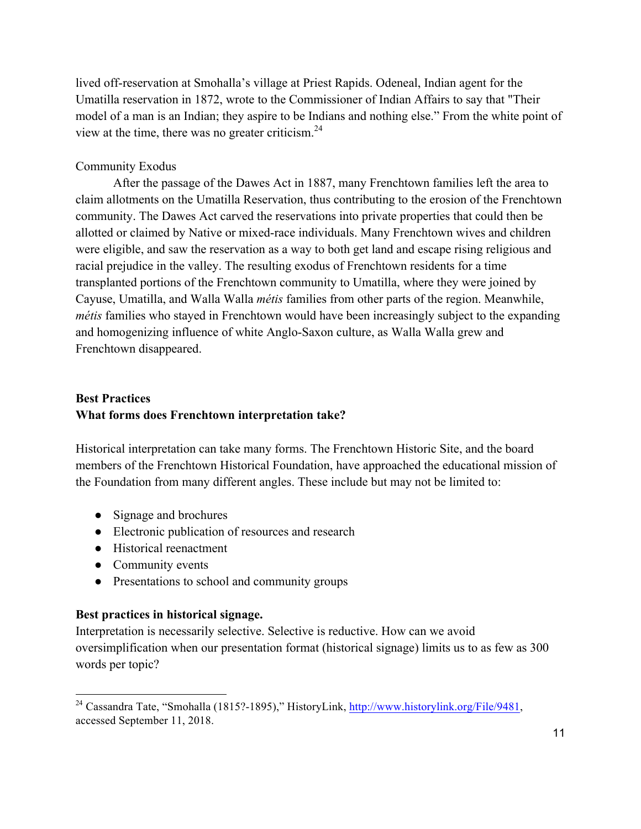lived off-reservation at Smohalla's village at Priest Rapids. Odeneal, Indian agent for the Umatilla reservation in 1872, wrote to the Commissioner of Indian Affairs to say that "Their model of a man is an Indian; they aspire to be Indians and nothing else." From the white point of view at the time, there was no greater criticism. $24$ 

## Community Exodus

After the passage of the Dawes Act in 1887, many Frenchtown families left the area to claim allotments on the Umatilla Reservation, thus contributing to the erosion of the Frenchtown community. The Dawes Act carved the reservations into private properties that could then be allotted or claimed by Native or mixed-race individuals. Many Frenchtown wives and children were eligible, and saw the reservation as a way to both get land and escape rising religious and racial prejudice in the valley. The resulting exodus of Frenchtown residents for a time transplanted portions of the Frenchtown community to Umatilla, where they were joined by Cayuse, Umatilla, and Walla Walla *métis* families from other parts of the region. Meanwhile, *métis* families who stayed in Frenchtown would have been increasingly subject to the expanding and homogenizing influence of white Anglo-Saxon culture, as Walla Walla grew and Frenchtown disappeared.

## **Best Practices What forms does Frenchtown interpretation take?**

Historical interpretation can take many forms. The Frenchtown Historic Site, and the board members of the Frenchtown Historical Foundation, have approached the educational mission of the Foundation from many different angles. These include but may not be limited to:

- Signage and brochures
- Electronic publication of resources and research
- Historical reenactment
- Community events

 

• Presentations to school and community groups

## **Best practices in historical signage.**

Interpretation is necessarily selective. Selective is reductive. How can we avoid oversimplification when our presentation format (historical signage) limits us to as few as 300 words per topic?

<sup>&</sup>lt;sup>24</sup> Cassandra Tate, "Smohalla (1815?-1895)," HistoryLink, http://www.historylink.org/File/9481, accessed September 11, 2018.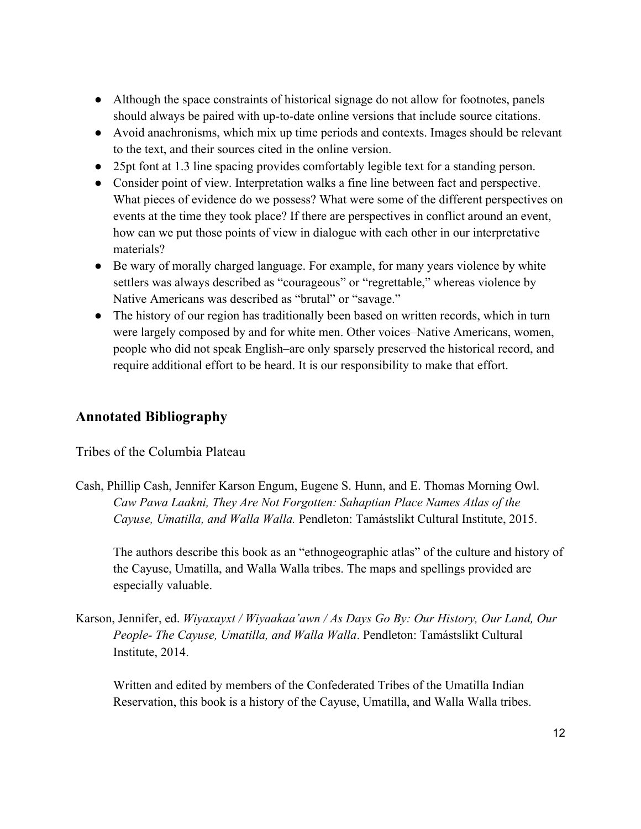- Although the space constraints of historical signage do not allow for footnotes, panels should always be paired with up-to-date online versions that include source citations.
- Avoid anachronisms, which mix up time periods and contexts. Images should be relevant to the text, and their sources cited in the online version.
- 25pt font at 1.3 line spacing provides comfortably legible text for a standing person.
- Consider point of view. Interpretation walks a fine line between fact and perspective. What pieces of evidence do we possess? What were some of the different perspectives on events at the time they took place? If there are perspectives in conflict around an event, how can we put those points of view in dialogue with each other in our interpretative materials?
- Be wary of morally charged language. For example, for many years violence by white settlers was always described as "courageous" or "regrettable," whereas violence by Native Americans was described as "brutal" or "savage."
- The history of our region has traditionally been based on written records, which in turn were largely composed by and for white men. Other voices–Native Americans, women, people who did not speak English–are only sparsely preserved the historical record, and require additional effort to be heard. It is our responsibility to make that effort.

# **Annotated Bibliography**

Tribes of the Columbia Plateau

Cash, Phillip Cash, Jennifer Karson Engum, Eugene S. Hunn, and E. Thomas Morning Owl. *Caw Pawa Laakni, They Are Not Forgotten: Sahaptian Place Names Atlas of the Cayuse, Umatilla, and Walla Walla.* Pendleton: Tamástslikt Cultural Institute, 2015.

The authors describe this book as an "ethnogeographic atlas" of the culture and history of the Cayuse, Umatilla, and Walla Walla tribes. The maps and spellings provided are especially valuable.

Karson, Jennifer, ed. *Wiyaxayxt / Wiyaakaa'awn / As Days Go By: Our History, Our Land, Our People- The Cayuse, Umatilla, and Walla Walla*. Pendleton: Tamástslikt Cultural Institute, 2014.

Written and edited by members of the Confederated Tribes of the Umatilla Indian Reservation, this book is a history of the Cayuse, Umatilla, and Walla Walla tribes.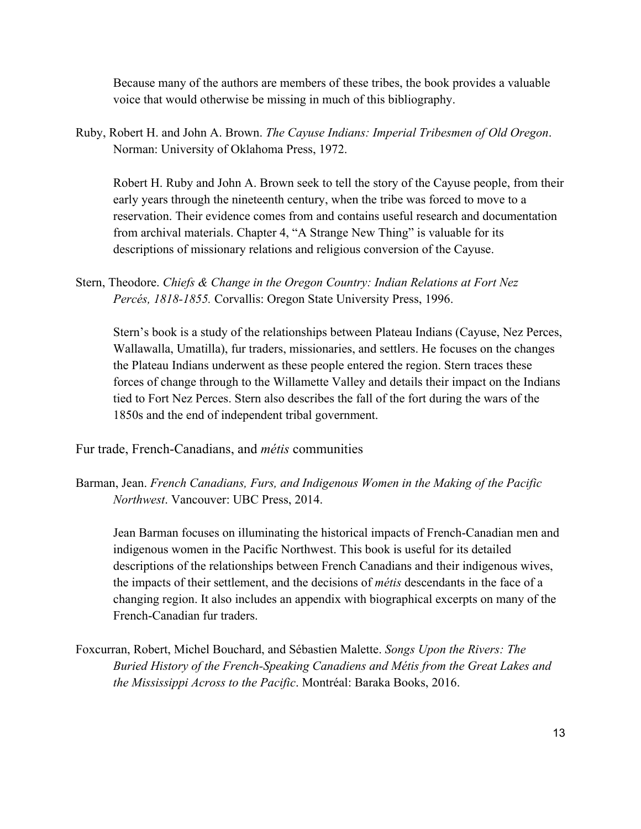Because many of the authors are members of these tribes, the book provides a valuable voice that would otherwise be missing in much of this bibliography.

Ruby, Robert H. and John A. Brown. *The Cayuse Indians: Imperial Tribesmen of Old Oregon*. Norman: University of Oklahoma Press, 1972.

Robert H. Ruby and John A. Brown seek to tell the story of the Cayuse people, from their early years through the nineteenth century, when the tribe was forced to move to a reservation. Their evidence comes from and contains useful research and documentation from archival materials. Chapter 4, "A Strange New Thing" is valuable for its descriptions of missionary relations and religious conversion of the Cayuse.

Stern, Theodore. *Chiefs & Change in the Oregon Country: Indian Relations at Fort Nez Percés, 1818-1855.* Corvallis: Oregon State University Press, 1996.

Stern's book is a study of the relationships between Plateau Indians (Cayuse, Nez Perces, Wallawalla, Umatilla), fur traders, missionaries, and settlers. He focuses on the changes the Plateau Indians underwent as these people entered the region. Stern traces these forces of change through to the Willamette Valley and details their impact on the Indians tied to Fort Nez Perces. Stern also describes the fall of the fort during the wars of the 1850s and the end of independent tribal government.

Fur trade, French-Canadians, and *métis* communities

Barman, Jean. *French Canadians, Furs, and Indigenous Women in the Making of the Pacific Northwest*. Vancouver: UBC Press, 2014.

Jean Barman focuses on illuminating the historical impacts of French-Canadian men and indigenous women in the Pacific Northwest. This book is useful for its detailed descriptions of the relationships between French Canadians and their indigenous wives, the impacts of their settlement, and the decisions of *métis* descendants in the face of a changing region. It also includes an appendix with biographical excerpts on many of the French-Canadian fur traders.

Foxcurran, Robert, Michel Bouchard, and Sébastien Malette. *Songs Upon the Rivers: The Buried History of the French-Speaking Canadiens and Métis from the Great Lakes and the Mississippi Across to the Pacific*. Montréal: Baraka Books, 2016.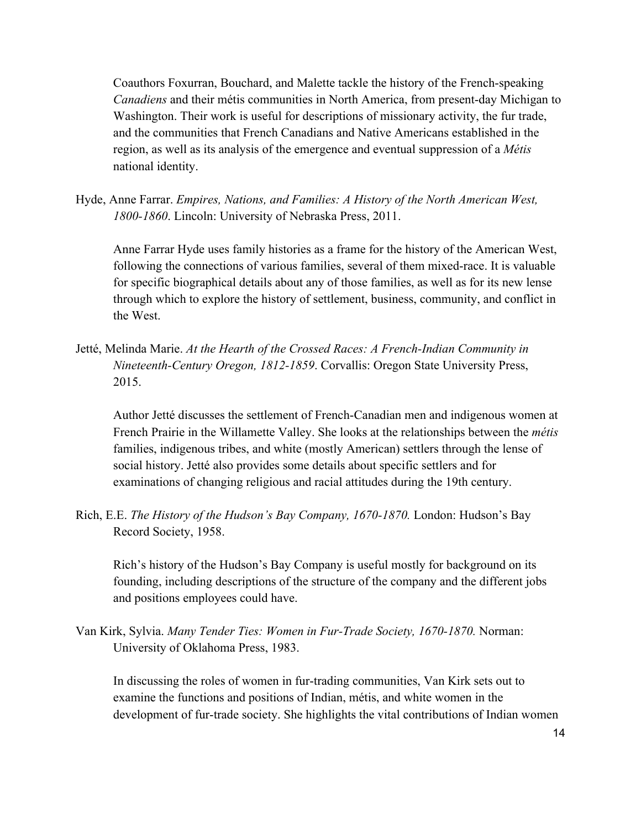Coauthors Foxurran, Bouchard, and Malette tackle the history of the French-speaking *Canadiens* and their métis communities in North America, from present-day Michigan to Washington. Their work is useful for descriptions of missionary activity, the fur trade, and the communities that French Canadians and Native Americans established in the region, as well as its analysis of the emergence and eventual suppression of a *Métis*  national identity.

Hyde, Anne Farrar. *Empires, Nations, and Families: A History of the North American West, 1800-1860*. Lincoln: University of Nebraska Press, 2011.

Anne Farrar Hyde uses family histories as a frame for the history of the American West, following the connections of various families, several of them mixed-race. It is valuable for specific biographical details about any of those families, as well as for its new lense through which to explore the history of settlement, business, community, and conflict in the West.

Jetté, Melinda Marie. *At the Hearth of the Crossed Races: A French-Indian Community in Nineteenth-Century Oregon, 1812-1859*. Corvallis: Oregon State University Press, 2015.

Author Jetté discusses the settlement of French-Canadian men and indigenous women at French Prairie in the Willamette Valley. She looks at the relationships between the *métis* families, indigenous tribes, and white (mostly American) settlers through the lense of social history. Jetté also provides some details about specific settlers and for examinations of changing religious and racial attitudes during the 19th century.

Rich, E.E. *The History of the Hudson's Bay Company, 1670-1870.* London: Hudson's Bay Record Society, 1958.

Rich's history of the Hudson's Bay Company is useful mostly for background on its founding, including descriptions of the structure of the company and the different jobs and positions employees could have.

Van Kirk, Sylvia. *Many Tender Ties: Women in Fur-Trade Society, 1670-1870.* Norman: University of Oklahoma Press, 1983.

In discussing the roles of women in fur-trading communities, Van Kirk sets out to examine the functions and positions of Indian, métis, and white women in the development of fur-trade society. She highlights the vital contributions of Indian women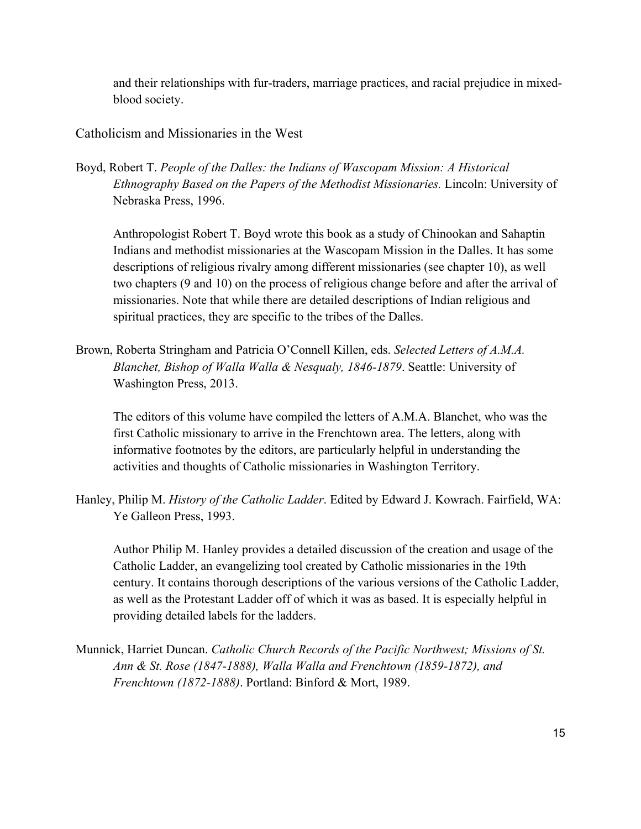and their relationships with fur-traders, marriage practices, and racial prejudice in mixedblood society.

Catholicism and Missionaries in the West

Boyd, Robert T. *People of the Dalles: the Indians of Wascopam Mission: A Historical Ethnography Based on the Papers of the Methodist Missionaries.* Lincoln: University of Nebraska Press, 1996.

Anthropologist Robert T. Boyd wrote this book as a study of Chinookan and Sahaptin Indians and methodist missionaries at the Wascopam Mission in the Dalles. It has some descriptions of religious rivalry among different missionaries (see chapter 10), as well two chapters (9 and 10) on the process of religious change before and after the arrival of missionaries. Note that while there are detailed descriptions of Indian religious and spiritual practices, they are specific to the tribes of the Dalles.

Brown, Roberta Stringham and Patricia O'Connell Killen, eds. *Selected Letters of A.M.A. Blanchet, Bishop of Walla Walla & Nesqualy, 1846-1879*. Seattle: University of Washington Press, 2013.

The editors of this volume have compiled the letters of A.M.A. Blanchet, who was the first Catholic missionary to arrive in the Frenchtown area. The letters, along with informative footnotes by the editors, are particularly helpful in understanding the activities and thoughts of Catholic missionaries in Washington Territory.

Hanley, Philip M. *History of the Catholic Ladder*. Edited by Edward J. Kowrach. Fairfield, WA: Ye Galleon Press, 1993.

Author Philip M. Hanley provides a detailed discussion of the creation and usage of the Catholic Ladder, an evangelizing tool created by Catholic missionaries in the 19th century. It contains thorough descriptions of the various versions of the Catholic Ladder, as well as the Protestant Ladder off of which it was as based. It is especially helpful in providing detailed labels for the ladders.

Munnick, Harriet Duncan. *Catholic Church Records of the Pacific Northwest; Missions of St. Ann & St. Rose (1847-1888), Walla Walla and Frenchtown (1859-1872), and Frenchtown (1872-1888)*. Portland: Binford & Mort, 1989.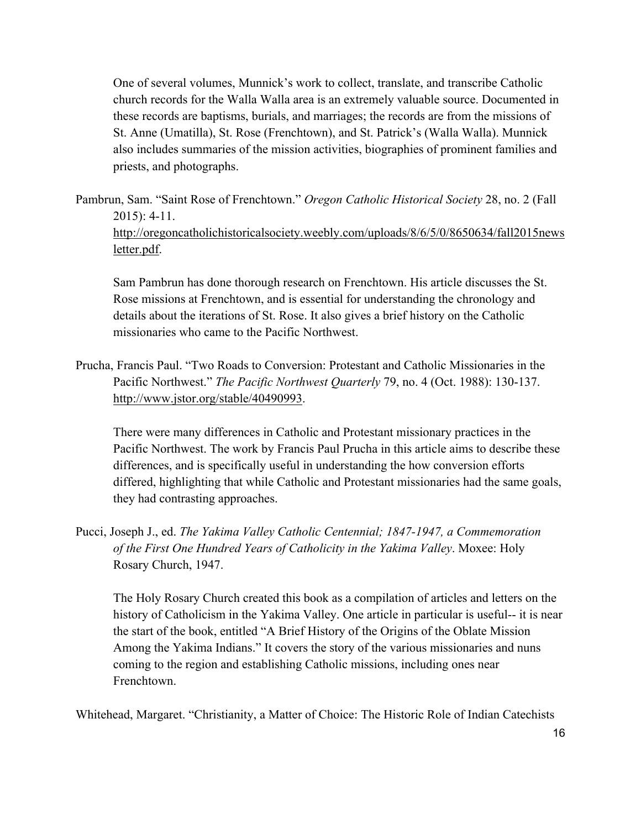One of several volumes, Munnick's work to collect, translate, and transcribe Catholic church records for the Walla Walla area is an extremely valuable source. Documented in these records are baptisms, burials, and marriages; the records are from the missions of St. Anne (Umatilla), St. Rose (Frenchtown), and St. Patrick's (Walla Walla). Munnick also includes summaries of the mission activities, biographies of prominent families and priests, and photographs.

Pambrun, Sam. "Saint Rose of Frenchtown." *Oregon Catholic Historical Society* 28, no. 2 (Fall  $2015$ : 4-11.

http://oregoncatholichistoricalsociety.weebly.com/uploads/8/6/5/0/8650634/fall2015news letter.pdf.

Sam Pambrun has done thorough research on Frenchtown. His article discusses the St. Rose missions at Frenchtown, and is essential for understanding the chronology and details about the iterations of St. Rose. It also gives a brief history on the Catholic missionaries who came to the Pacific Northwest.

Prucha, Francis Paul. "Two Roads to Conversion: Protestant and Catholic Missionaries in the Pacific Northwest." *The Pacific Northwest Quarterly* 79, no. 4 (Oct. 1988): 130-137. http://www.jstor.org/stable/40490993.

There were many differences in Catholic and Protestant missionary practices in the Pacific Northwest. The work by Francis Paul Prucha in this article aims to describe these differences, and is specifically useful in understanding the how conversion efforts differed, highlighting that while Catholic and Protestant missionaries had the same goals, they had contrasting approaches.

Pucci, Joseph J., ed. *The Yakima Valley Catholic Centennial; 1847-1947, a Commemoration of the First One Hundred Years of Catholicity in the Yakima Valley*. Moxee: Holy Rosary Church, 1947.

The Holy Rosary Church created this book as a compilation of articles and letters on the history of Catholicism in the Yakima Valley. One article in particular is useful-- it is near the start of the book, entitled "A Brief History of the Origins of the Oblate Mission Among the Yakima Indians." It covers the story of the various missionaries and nuns coming to the region and establishing Catholic missions, including ones near Frenchtown.

Whitehead, Margaret. "Christianity, a Matter of Choice: The Historic Role of Indian Catechists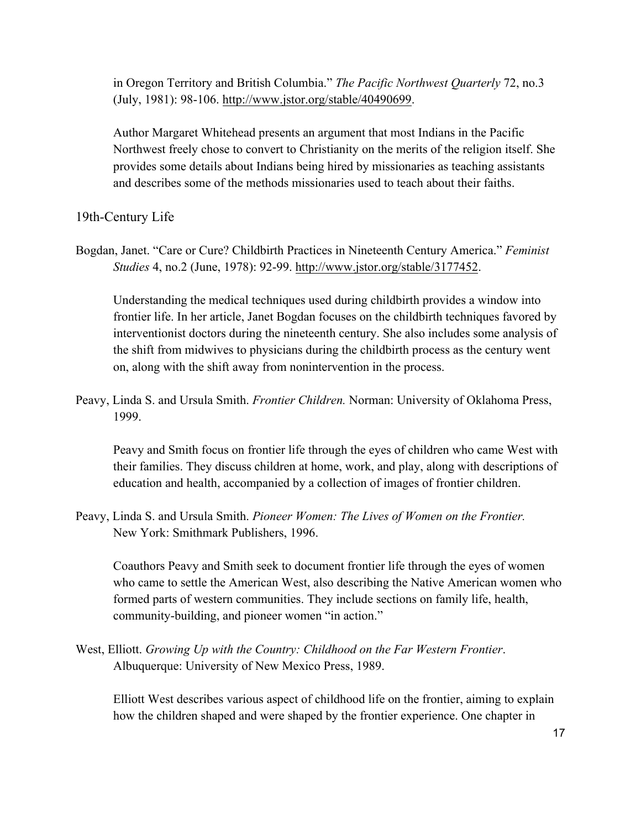in Oregon Territory and British Columbia." *The Pacific Northwest Quarterly* 72, no.3 (July, 1981): 98-106. http://www.jstor.org/stable/40490699.

Author Margaret Whitehead presents an argument that most Indians in the Pacific Northwest freely chose to convert to Christianity on the merits of the religion itself. She provides some details about Indians being hired by missionaries as teaching assistants and describes some of the methods missionaries used to teach about their faiths.

19th-Century Life

Bogdan, Janet. "Care or Cure? Childbirth Practices in Nineteenth Century America." *Feminist Studies* 4, no.2 (June, 1978): 92-99. http://www.jstor.org/stable/3177452.

Understanding the medical techniques used during childbirth provides a window into frontier life. In her article, Janet Bogdan focuses on the childbirth techniques favored by interventionist doctors during the nineteenth century. She also includes some analysis of the shift from midwives to physicians during the childbirth process as the century went on, along with the shift away from nonintervention in the process.

Peavy, Linda S. and Ursula Smith. *Frontier Children.* Norman: University of Oklahoma Press, 1999.

Peavy and Smith focus on frontier life through the eyes of children who came West with their families. They discuss children at home, work, and play, along with descriptions of education and health, accompanied by a collection of images of frontier children.

Peavy, Linda S. and Ursula Smith. *Pioneer Women: The Lives of Women on the Frontier.*  New York: Smithmark Publishers, 1996.

Coauthors Peavy and Smith seek to document frontier life through the eyes of women who came to settle the American West, also describing the Native American women who formed parts of western communities. They include sections on family life, health, community-building, and pioneer women "in action."

West, Elliott. *Growing Up with the Country: Childhood on the Far Western Frontier*. Albuquerque: University of New Mexico Press, 1989.

Elliott West describes various aspect of childhood life on the frontier, aiming to explain how the children shaped and were shaped by the frontier experience. One chapter in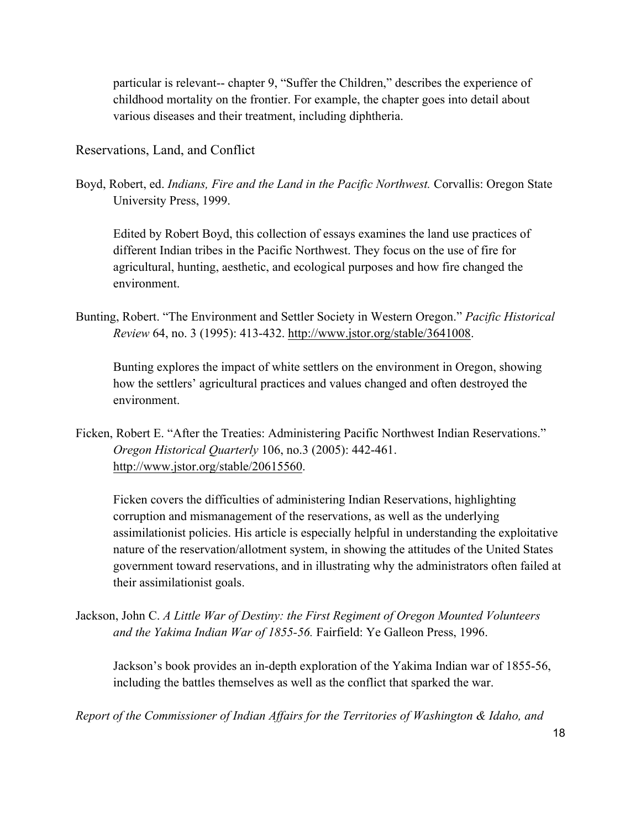particular is relevant-- chapter 9, "Suffer the Children," describes the experience of childhood mortality on the frontier. For example, the chapter goes into detail about various diseases and their treatment, including diphtheria.

Reservations, Land, and Conflict

Boyd, Robert, ed. *Indians, Fire and the Land in the Pacific Northwest.* Corvallis: Oregon State University Press, 1999.

Edited by Robert Boyd, this collection of essays examines the land use practices of different Indian tribes in the Pacific Northwest. They focus on the use of fire for agricultural, hunting, aesthetic, and ecological purposes and how fire changed the environment.

Bunting, Robert. "The Environment and Settler Society in Western Oregon." *Pacific Historical Review* 64, no. 3 (1995): 413-432. http://www.jstor.org/stable/3641008.

Bunting explores the impact of white settlers on the environment in Oregon, showing how the settlers' agricultural practices and values changed and often destroyed the environment.

Ficken, Robert E. "After the Treaties: Administering Pacific Northwest Indian Reservations." *Oregon Historical Quarterly* 106, no.3 (2005): 442-461. http://www.jstor.org/stable/20615560.

Ficken covers the difficulties of administering Indian Reservations, highlighting corruption and mismanagement of the reservations, as well as the underlying assimilationist policies. His article is especially helpful in understanding the exploitative nature of the reservation/allotment system, in showing the attitudes of the United States government toward reservations, and in illustrating why the administrators often failed at their assimilationist goals.

Jackson, John C. *A Little War of Destiny: the First Regiment of Oregon Mounted Volunteers and the Yakima Indian War of 1855-56.* Fairfield: Ye Galleon Press, 1996.

Jackson's book provides an in-depth exploration of the Yakima Indian war of 1855-56, including the battles themselves as well as the conflict that sparked the war.

*Report of the Commissioner of Indian Affairs for the Territories of Washington & Idaho, and*